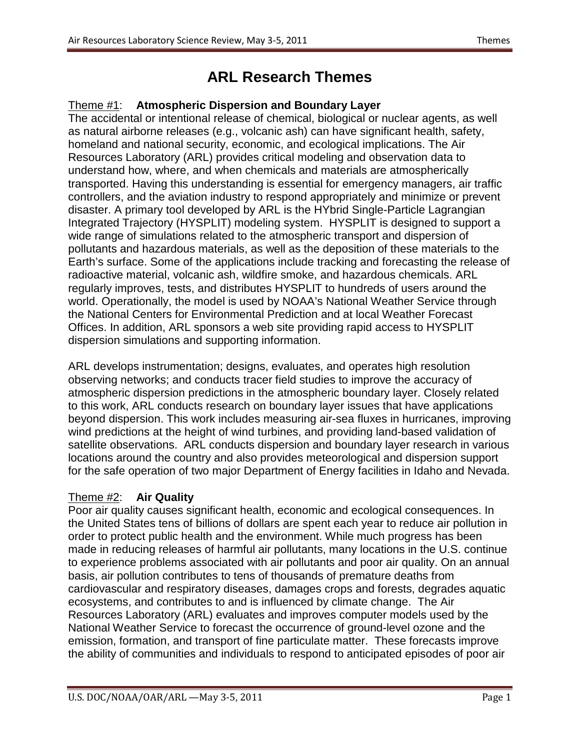## **ARL Research Themes**

## Theme #1 : **Atmospheric Dispersion and Boundary Layer**

The accidental or intentional release of chemical, biological or nuclear agents, as well as natural airborne releases (e.g., volcanic ash) can have significant health, safety, homeland and national security, economic, and ecological implications. The Air Resources Laboratory (ARL) provides critical modeling and observation data to understand how, where, and when chemicals and materials are atmospherically transported. Having this understanding is essential for emergency managers, air traffic controllers, and the aviation industry to respond appropriately and minimize or prevent disaster. A primary tool developed by ARL is the HYbrid Single-Particle Lagrangian Integrated Trajectory (HYSPLIT) modeling system. HYSPLIT is designed to support a wide range of simulations related to the atmospheric transport and dispersion of pollutants and hazardous materials, as well as the deposition of these materials to the Earth's surface. Some of the applications include tracking and forecasting the release of radioactive material, volcanic ash, wildfire smoke, and hazardous chemicals. ARL regularly improves, tests, and distributes HYSPLIT to hundreds of users around the world. Operationally, the model is used by NOAA's National Weather Service through the National Centers for Environmental Prediction and at local Weather Forecast Offices. In addition, ARL sponsors a web site providing rapid access to HYSPLIT dispersion simulations and supporting information.

ARL develops instrumentation; designs, evaluates, and operates high resolution observing networks; and conducts tracer field studies to improve the accuracy of atmospheric dispersion predictions in the atmospheric boundary layer. Closely related to this work, ARL conducts research on boundary layer issues that have applications beyond dispersion. This work includes measuring air-sea fluxes in hurricanes, improving wind predictions at the height of wind turbines, and providing land-based validation of satellite observations. ARL conducts dispersion and boundary layer research in various locations around the country and also provides meteorological and dispersion support for the safe operation of two major Department of Energy facilities in Idaho and Nevada.

## Theme #2 : **Air Quality**

Poor air quality causes significant health, economic and ecological consequences. In the United States tens of billions of dollars are spent each year to reduce air pollution in order to protect public health and the environment. While much progress has been made in reducing releases of harmful air pollutants, many locations in the U.S. continue to experience problems associated with air pollutants and poor air quality. On an annual basis, air pollution contributes to tens of thousands of premature deaths from cardiovascular and respiratory diseases, damages crops and forests, degrades aquatic ecosystems, and contributes to and is influenced by climate change. The Air Resources Laboratory (ARL) evaluates and improves computer models used by the National Weather Service to forecast the occurrence of ground-level ozone and the emission, formation, and transport of fine particulate matter. These forecasts improve the ability of communities and individuals to respond to anticipated episodes of poor air